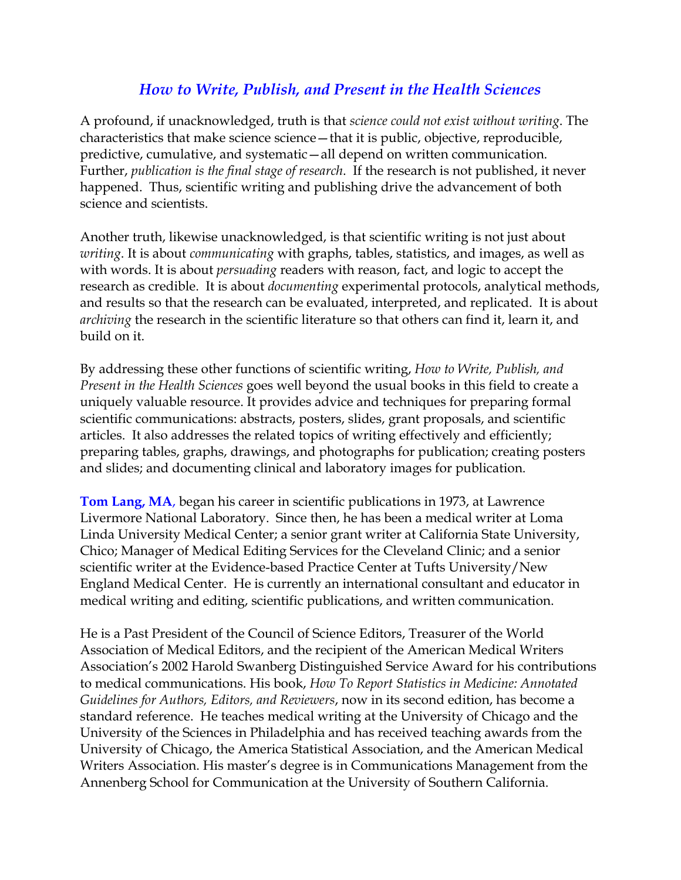# *How to Write, Publish, and Present in the Health Sciences*

A profound, if unacknowledged, truth is that *science could not exist without writing*. The characteristics that make science science—that it is public, objective, reproducible, predictive, cumulative, and systematic—all depend on written communication. Further, *publication is the final stage of research*. If the research is not published, it never happened. Thus, scientific writing and publishing drive the advancement of both science and scientists.

Another truth, likewise unacknowledged, is that scientific writing is not just about *writing*. It is about *communicating* with graphs, tables, statistics, and images, as well as with words. It is about *persuading* readers with reason, fact, and logic to accept the research as credible. It is about *documenting* experimental protocols, analytical methods, and results so that the research can be evaluated, interpreted, and replicated. It is about *archiving* the research in the scientific literature so that others can find it, learn it, and build on it.

By addressing these other functions of scientific writing, *How to Write, Publish, and Present in the Health Sciences* goes well beyond the usual books in this field to create a uniquely valuable resource. It provides advice and techniques for preparing formal scientific communications: abstracts, posters, slides, grant proposals, and scientific articles. It also addresses the related topics of writing effectively and efficiently; preparing tables, graphs, drawings, and photographs for publication; creating posters and slides; and documenting clinical and laboratory images for publication.

**Tom Lang, MA**, began his career in scientific publications in 1973, at Lawrence Livermore National Laboratory. Since then, he has been a medical writer at Loma Linda University Medical Center; a senior grant writer at California State University, Chico; Manager of Medical Editing Services for the Cleveland Clinic; and a senior scientific writer at the Evidence-based Practice Center at Tufts University/New England Medical Center. He is currently an international consultant and educator in medical writing and editing, scientific publications, and written communication.

He is a Past President of the Council of Science Editors, Treasurer of the World Association of Medical Editors, and the recipient of the American Medical Writers Association's 2002 Harold Swanberg Distinguished Service Award for his contributions to medical communications. His book, *How To Report Statistics in Medicine: Annotated Guidelines for Authors, Editors, and Reviewers*, now in its second edition, has become a standard reference. He teaches medical writing at the University of Chicago and the University of the Sciences in Philadelphia and has received teaching awards from the University of Chicago, the America Statistical Association, and the American Medical Writers Association. His master's degree is in Communications Management from the Annenberg School for Communication at the University of Southern California.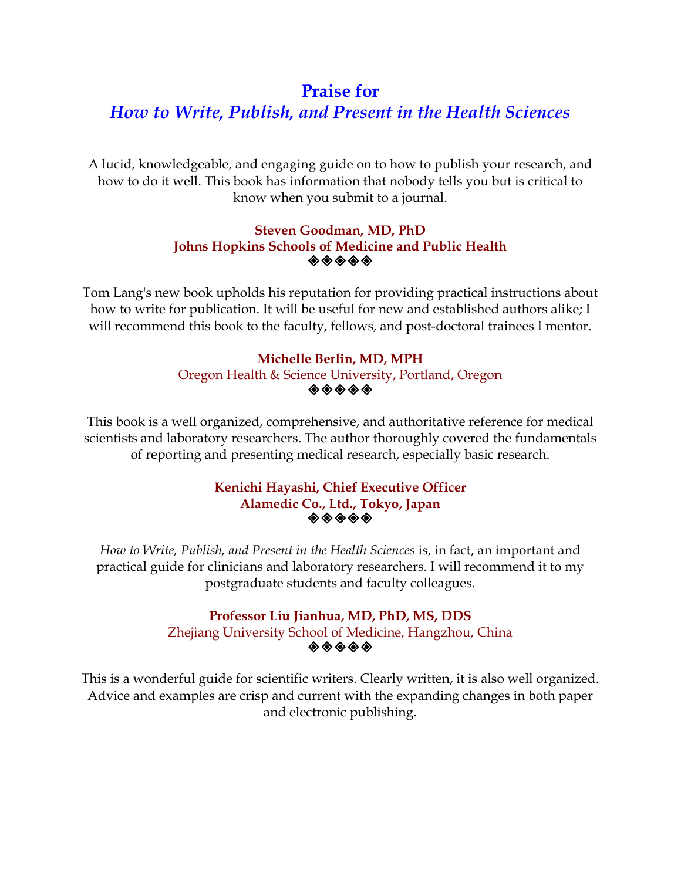# **Praise for**

# *How to Write, Publish, and Present in the Health Sciences*

A lucid, knowledgeable, and engaging guide on to how to publish your research, and how to do it well. This book has information that nobody tells you but is critical to know when you submit to a journal.

# **Steven Goodman, MD, PhD Johns Hopkins Schools of Medicine and Public Health**  ◈◈◈◈◈

Tom Lang's new book upholds his reputation for providing practical instructions about how to write for publication. It will be useful for new and established authors alike; I will recommend this book to the faculty, fellows, and post-doctoral trainees I mentor.

# **Michelle Berlin, MD, MPH**  Oregon Health & Science University, Portland, Oregon  $\diamondsuit \diamondsuit \diamondsuit \diamondsuit \diamondsuit$

This book is a well organized, comprehensive, and authoritative reference for medical scientists and laboratory researchers. The author thoroughly covered the fundamentals of reporting and presenting medical research, especially basic research.

# **Kenichi Hayashi, Chief Executive Officer Alamedic Co., Ltd., Tokyo, Japan**

*How to Write, Publish, and Present in the Health Sciences* is, in fact, an important and practical guide for clinicians and laboratory researchers. I will recommend it to my postgraduate students and faculty colleagues.

# **Professor Liu Jianhua, MD, PhD, MS, DDS**  Zhejiang University School of Medicine, Hangzhou, China  $\diamondsuit \diamondsuit \diamondsuit \diamondsuit$

This is a wonderful guide for scientific writers. Clearly written, it is also well organized. Advice and examples are crisp and current with the expanding changes in both paper and electronic publishing.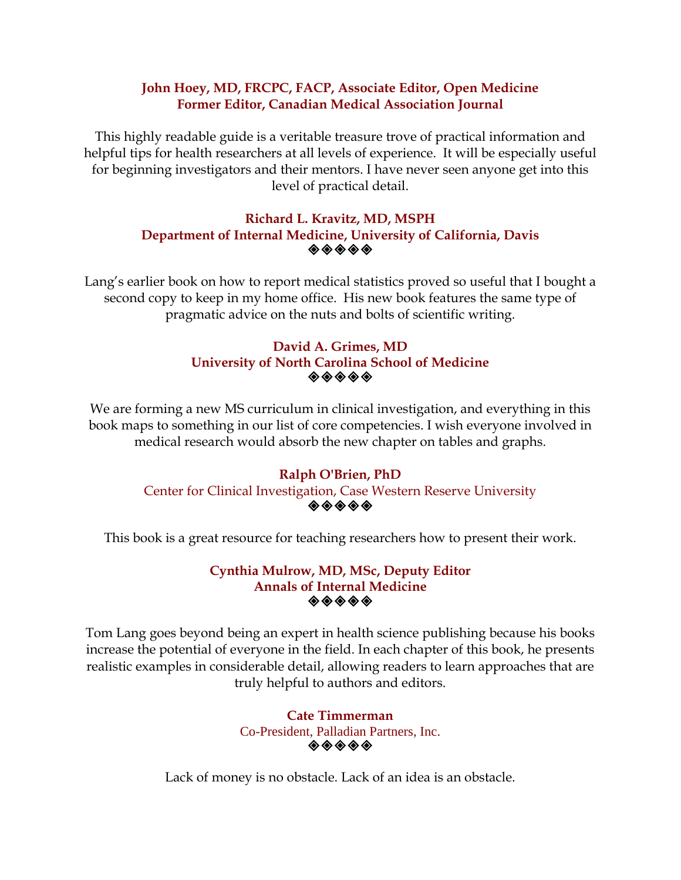# **John Hoey, MD, FRCPC, FACP, Associate Editor, Open Medicine Former Editor, Canadian Medical Association Journal**

This highly readable guide is a veritable treasure trove of practical information and helpful tips for health researchers at all levels of experience. It will be especially useful for beginning investigators and their mentors. I have never seen anyone get into this level of practical detail.

# **Richard L. Kravitz, MD, MSPH Department of Internal Medicine, University of California, Davis**   $\quad \quad \ \ \, \diamondsuit \ \ \diamondsuit \ \ \diamondsuit \ \ \diamondsuit$

Lang's earlier book on how to report medical statistics proved so useful that I bought a second copy to keep in my home office. His new book features the same type of pragmatic advice on the nuts and bolts of scientific writing.

## **David A. Grimes, MD University of North Carolina School of Medicine**   $\diamondsuit \diamondsuit \diamondsuit \diamondsuit \diamondsuit$

We are forming a new MS curriculum in clinical investigation, and everything in this book maps to something in our list of core competencies. I wish everyone involved in medical research would absorb the new chapter on tables and graphs.

# **Ralph O'Brien, PhD**

#### Center for Clinical Investigation, Case Western Reserve University ◈◈◈◈◈

This book is a great resource for teaching researchers how to present their work.

## **Cynthia Mulrow, MD, MSc, Deputy Editor Annals of Internal Medicine**   $\color{blue}\blacklozenge\color{orange}\blacklozenge\color{orange}\blacklozenge\color{orange}\blacklozenge\color{orange}\blacklozenge$

Tom Lang goes beyond being an expert in health science publishing because his books increase the potential of everyone in the field. In each chapter of this book, he presents realistic examples in considerable detail, allowing readers to learn approaches that are truly helpful to authors and editors.

> **Cate Timmerman**  Co-President, Palladian Partners, Inc.  $\diamondsuit \diamondsuit \diamondsuit \diamondsuit \diamondsuit$

Lack of money is no obstacle. Lack of an idea is an obstacle.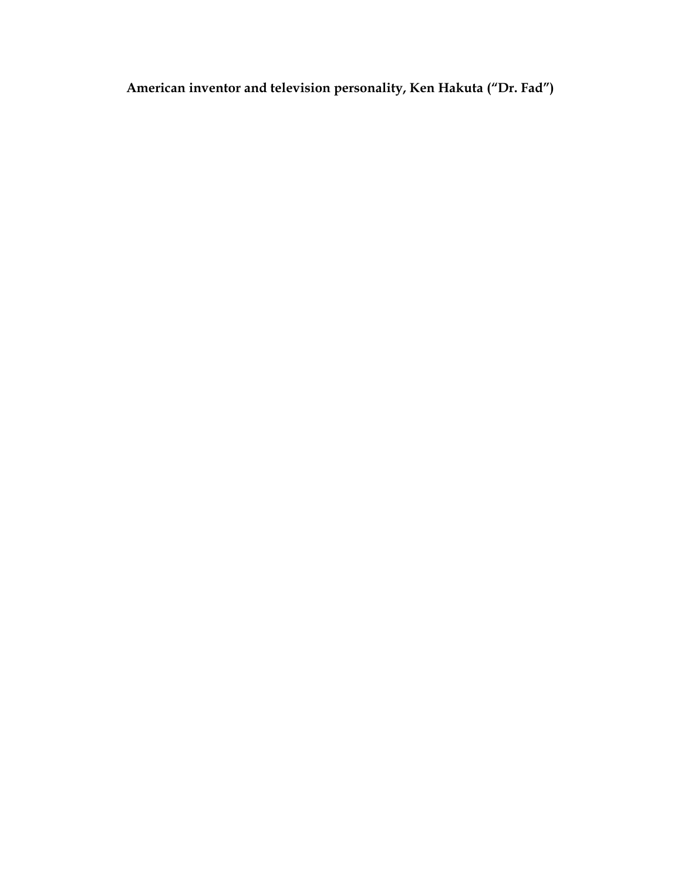**American inventor and television personality, Ken Hakuta ("Dr. Fad")**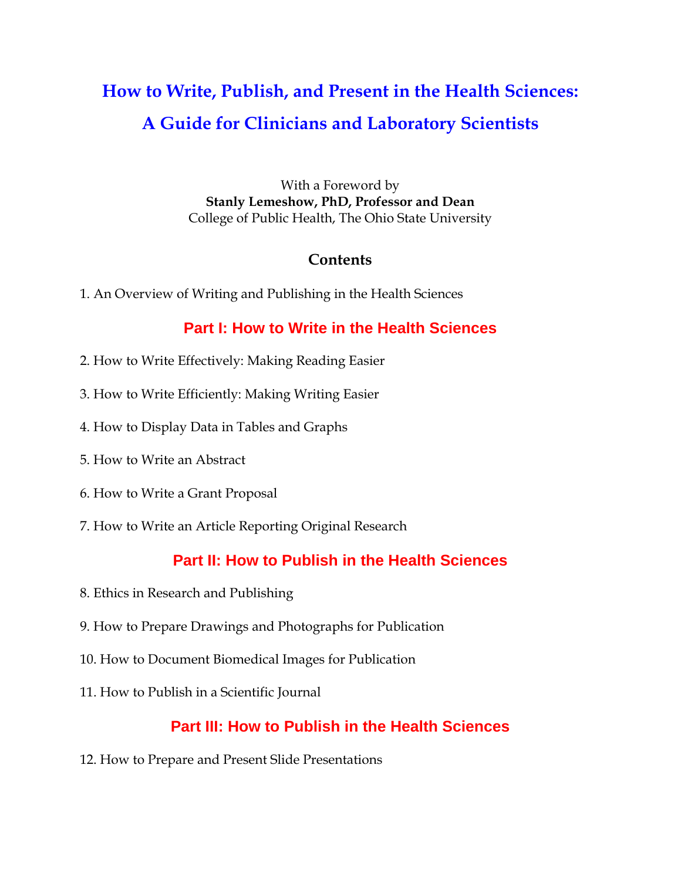# **How to Write, Publish, and Present in the Health Sciences: A Guide for Clinicians and Laboratory Scientists**

With a Foreword by **Stanly Lemeshow, PhD, Professor and Dean**  College of Public Health, The Ohio State University

# **Contents**

1. An Overview of Writing and Publishing in the Health Sciences

# **Part I: How to Write in the Health Sciences**

- 2. How to Write Effectively: Making Reading Easier
- 3. How to Write Efficiently: Making Writing Easier
- 4. How to Display Data in Tables and Graphs
- 5. How to Write an Abstract
- 6. How to Write a Grant Proposal
- 7. How to Write an Article Reporting Original Research

# **Part II: How to Publish in the Health Sciences**

- 8. Ethics in Research and Publishing
- 9. How to Prepare Drawings and Photographs for Publication
- 10. How to Document Biomedical Images for Publication
- 11. How to Publish in a Scientific Journal

# **Part III: How to Publish in the Health Sciences**

12. How to Prepare and Present Slide Presentations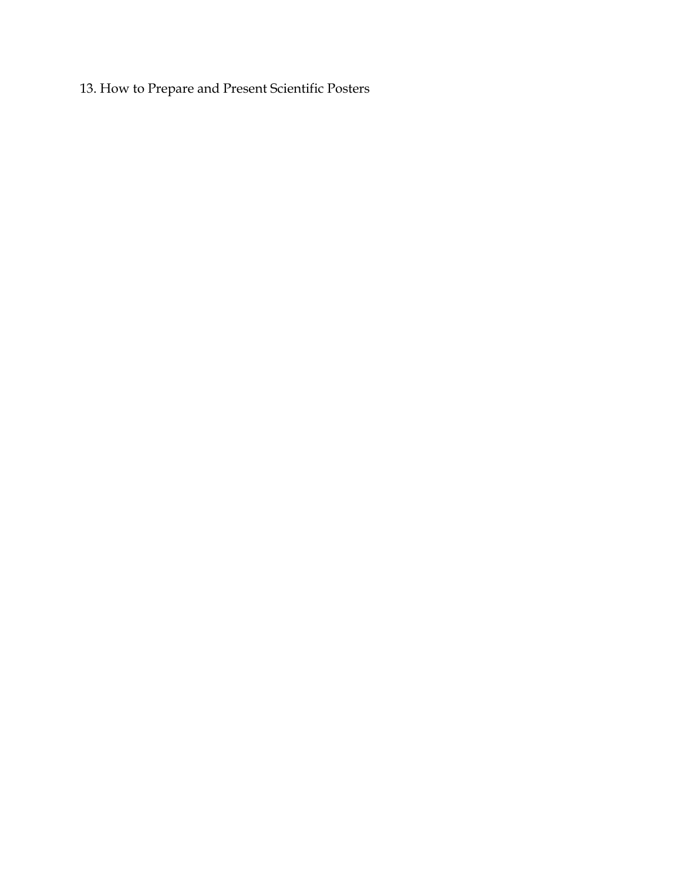13. How to Prepare and Present Scientific Posters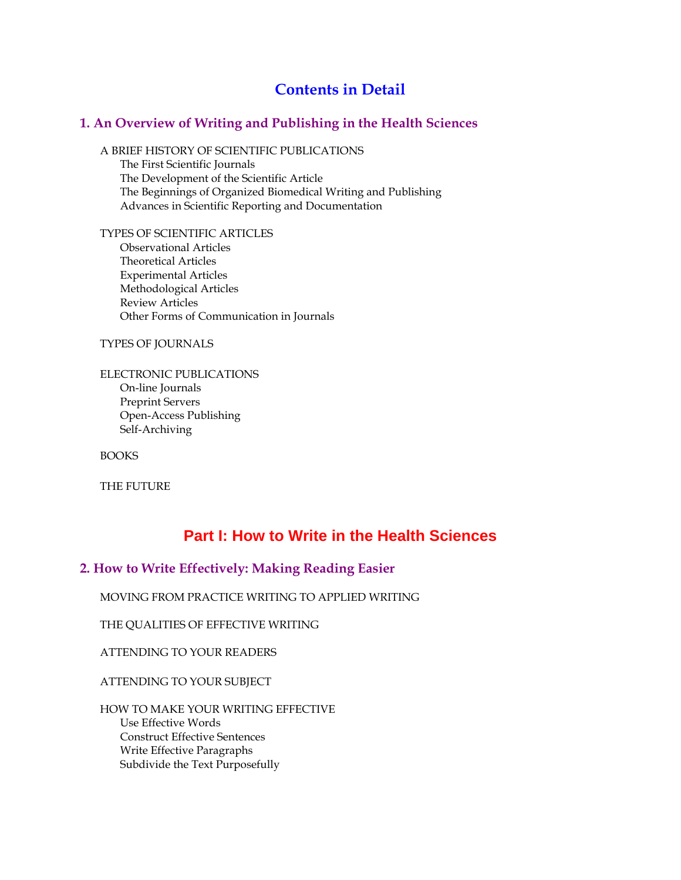# **Contents in Detail**

### **1. An Overview of Writing and Publishing in the Health Sciences**

A BRIEF HISTORY OF SCIENTIFIC PUBLICATIONS The First Scientific Journals The Development of the Scientific Article The Beginnings of Organized Biomedical Writing and Publishing Advances in Scientific Reporting and Documentation

TYPES OF SCIENTIFIC ARTICLES Observational Articles Theoretical Articles Experimental Articles Methodological Articles Review Articles Other Forms of Communication in Journals

TYPES OF JOURNALS

ELECTRONIC PUBLICATIONS On-line Journals Preprint Servers Open-Access Publishing Self-Archiving

**BOOKS** 

THE FUTURE

# **Part I: How to Write in the Health Sciences**

#### **2. How to Write Effectively: Making Reading Easier**

MOVING FROM PRACTICE WRITING TO APPLIED WRITING

THE QUALITIES OF EFFECTIVE WRITING

ATTENDING TO YOUR READERS

ATTENDING TO YOUR SUBJECT

HOW TO MAKE YOUR WRITING EFFECTIVE Use Effective Words Construct Effective Sentences Write Effective Paragraphs Subdivide the Text Purposefully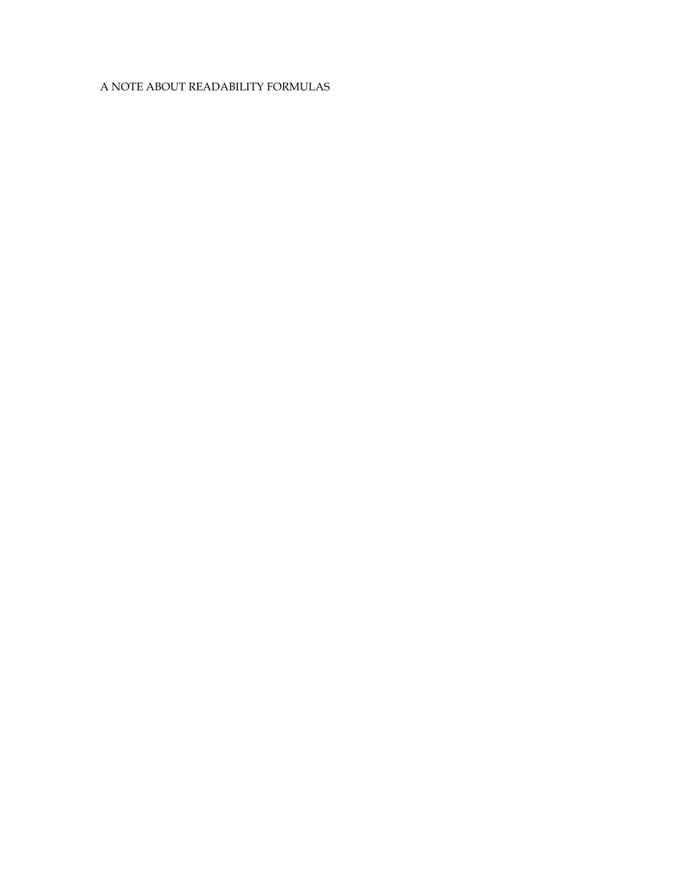## A NOTE ABOUT READABILITY FORMULAS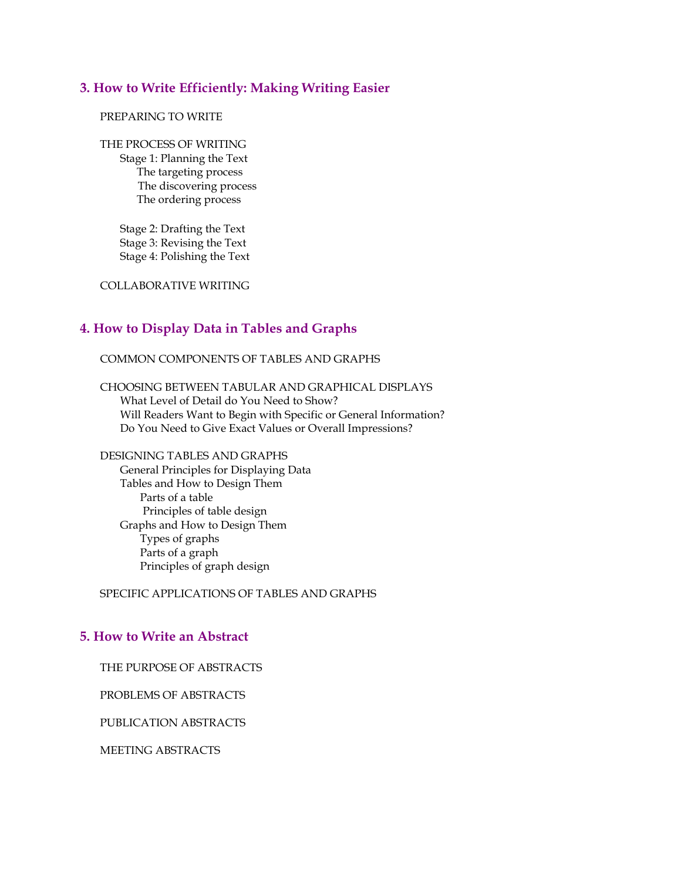#### **3. How to Write Efficiently: Making Writing Easier**

#### PREPARING TO WRITE

THE PROCESS OF WRITING Stage 1: Planning the Text The targeting process The discovering process The ordering process

> Stage 2: Drafting the Text Stage 3: Revising the Text Stage 4: Polishing the Text

COLLABORATIVE WRITING

#### **4. How to Display Data in Tables and Graphs**

COMMON COMPONENTS OF TABLES AND GRAPHS

CHOOSING BETWEEN TABULAR AND GRAPHICAL DISPLAYS What Level of Detail do You Need to Show? Will Readers Want to Begin with Specific or General Information? Do You Need to Give Exact Values or Overall Impressions?

DESIGNING TABLES AND GRAPHS General Principles for Displaying Data Tables and How to Design Them Parts of a table Principles of table design Graphs and How to Design Them Types of graphs Parts of a graph Principles of graph design

SPECIFIC APPLICATIONS OF TABLES AND GRAPHS

#### **5. How to Write an Abstract**

THE PURPOSE OF ABSTRACTS

PROBLEMS OF ABSTRACTS

PUBLICATION ABSTRACTS

MEETING ABSTRACTS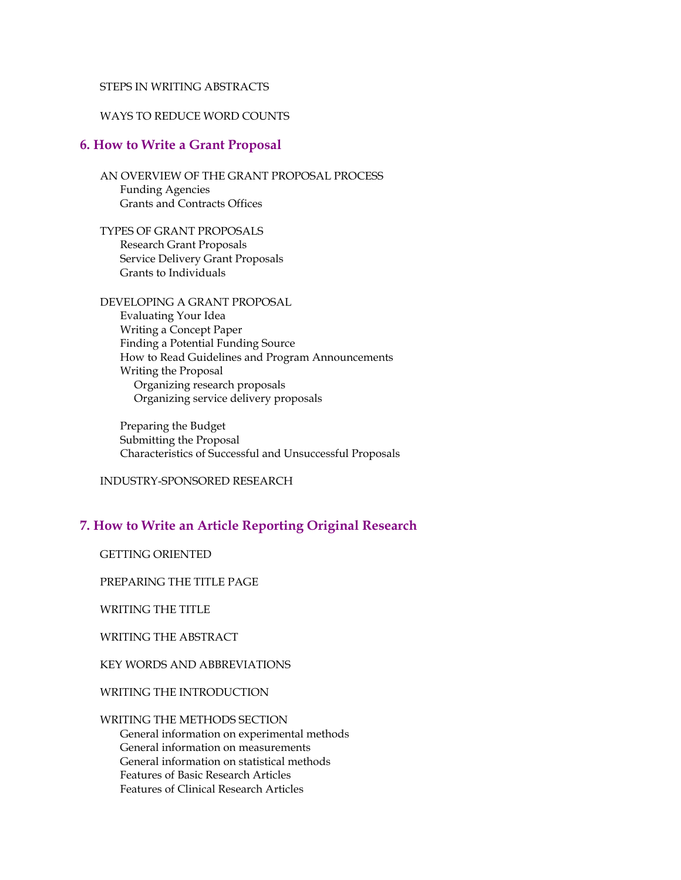#### STEPS IN WRITING ABSTRACTS

#### WAYS TO REDUCE WORD COUNTS

#### **6. How to Write a Grant Proposal**

AN OVERVIEW OF THE GRANT PROPOSAL PROCESS Funding Agencies Grants and Contracts Offices

TYPES OF GRANT PROPOSALS Research Grant Proposals Service Delivery Grant Proposals Grants to Individuals

DEVELOPING A GRANT PROPOSAL Evaluating Your Idea Writing a Concept Paper Finding a Potential Funding Source How to Read Guidelines and Program Announcements Writing the Proposal Organizing research proposals Organizing service delivery proposals

Preparing the Budget Submitting the Proposal Characteristics of Successful and Unsuccessful Proposals

INDUSTRY-SPONSORED RESEARCH

# **7. How to Write an Article Reporting Original Research**

GETTING ORIENTED

PREPARING THE TITLE PAGE

WRITING THE TITLE

WRITING THE ABSTRACT

KEY WORDS AND ABBREVIATIONS

WRITING THE INTRODUCTION

# WRITING THE METHODS SECTION General information on experimental methods General information on measurements

General information on statistical methods Features of Basic Research Articles Features of Clinical Research Articles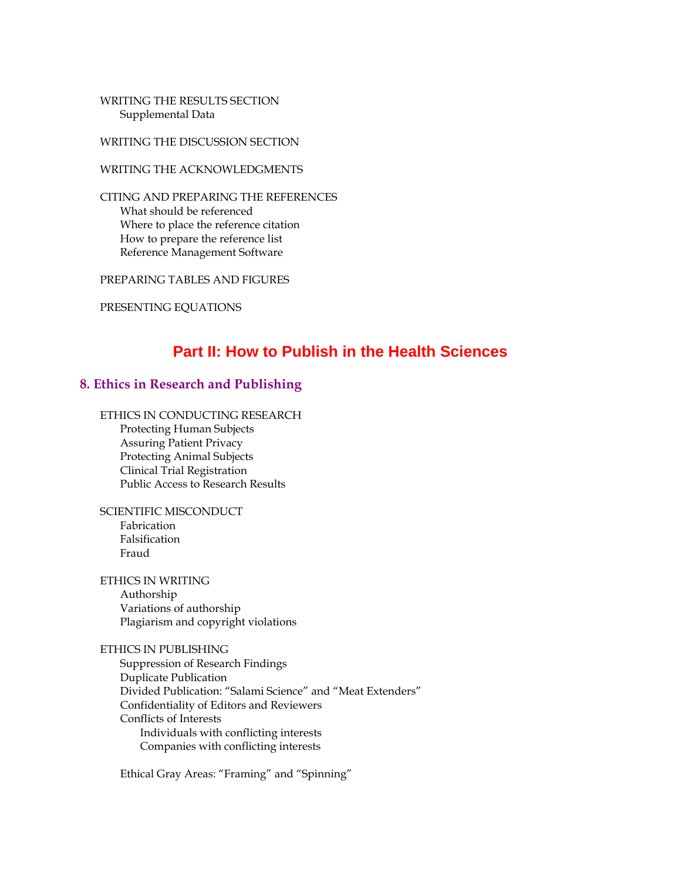WRITING THE RESULTS SECTION Supplemental Data

WRITING THE DISCUSSION SECTION

WRITING THE ACKNOWLEDGMENTS

CITING AND PREPARING THE REFERENCES What should be referenced Where to place the reference citation How to prepare the reference list Reference Management Software

PREPARING TABLES AND FIGURES

PRESENTING EQUATIONS

# **Part II: How to Publish in the Health Sciences**

#### **8. Ethics in Research and Publishing**

ETHICS IN CONDUCTING RESEARCH Protecting Human Subjects Assuring Patient Privacy Protecting Animal Subjects Clinical Trial Registration Public Access to Research Results

SCIENTIFIC MISCONDUCT Fabrication Falsification Fraud

ETHICS IN WRITING Authorship Variations of authorship Plagiarism and copyright violations

#### ETHICS IN PUBLISHING

Suppression of Research Findings Duplicate Publication Divided Publication: "Salami Science" and "Meat Extenders" Confidentiality of Editors and Reviewers Conflicts of Interests Individuals with conflicting interests Companies with conflicting interests

Ethical Gray Areas: "Framing" and "Spinning"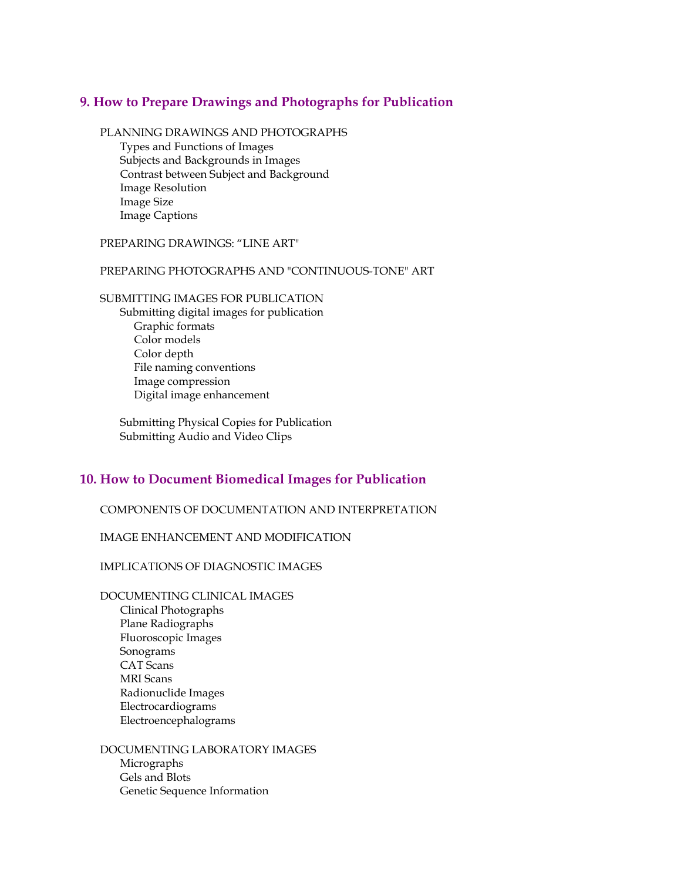#### **9. How to Prepare Drawings and Photographs for Publication**

PLANNING DRAWINGS AND PHOTOGRAPHS

Types and Functions of Images Subjects and Backgrounds in Images Contrast between Subject and Background Image Resolution Image Size Image Captions

#### PREPARING DRAWINGS: "LINE ART"

#### PREPARING PHOTOGRAPHS AND "CONTINUOUS-TONE" ART

#### SUBMITTING IMAGES FOR PUBLICATION

Submitting digital images for publication Graphic formats Color models Color depth File naming conventions Image compression Digital image enhancement

Submitting Physical Copies for Publication Submitting Audio and Video Clips

#### **10. How to Document Biomedical Images for Publication**

COMPONENTS OF DOCUMENTATION AND INTERPRETATION

#### IMAGE ENHANCEMENT AND MODIFICATION

#### IMPLICATIONS OF DIAGNOSTIC IMAGES

DOCUMENTING CLINICAL IMAGES Clinical Photographs Plane Radiographs Fluoroscopic Images Sonograms CAT Scans MRI Scans Radionuclide Images Electrocardiograms Electroencephalograms

DOCUMENTING LABORATORY IMAGES Micrographs Gels and Blots Genetic Sequence Information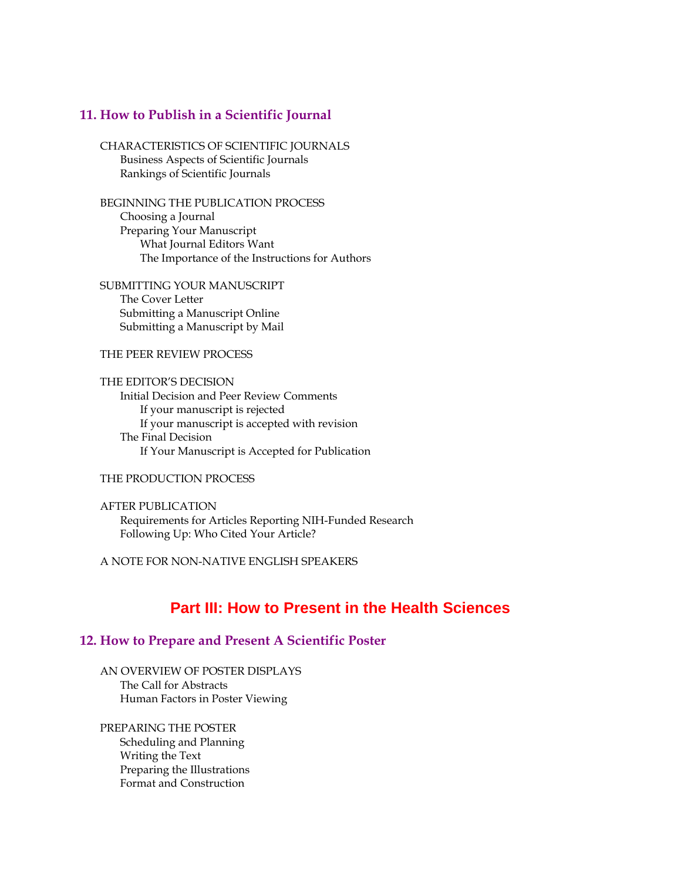#### **11. How to Publish in a Scientific Journal**

CHARACTERISTICS OF SCIENTIFIC JOURNALS Business Aspects of Scientific Journals Rankings of Scientific Journals

BEGINNING THE PUBLICATION PROCESS Choosing a Journal Preparing Your Manuscript What Journal Editors Want The Importance of the Instructions for Authors

SUBMITTING YOUR MANUSCRIPT The Cover Letter Submitting a Manuscript Online Submitting a Manuscript by Mail

#### THE PEER REVIEW PROCESS

THE EDITOR'S DECISION Initial Decision and Peer Review Comments If your manuscript is rejected If your manuscript is accepted with revision The Final Decision If Your Manuscript is Accepted for Publication

#### THE PRODUCTION PROCESS

AFTER PUBLICATION Requirements for Articles Reporting NIH-Funded Research Following Up: Who Cited Your Article?

A NOTE FOR NON-NATIVE ENGLISH SPEAKERS

# **Part III: How to Present in the Health Sciences**

#### **12. How to Prepare and Present A Scientific Poster**

AN OVERVIEW OF POSTER DISPLAYS The Call for Abstracts Human Factors in Poster Viewing

PREPARING THE POSTER Scheduling and Planning Writing the Text Preparing the Illustrations Format and Construction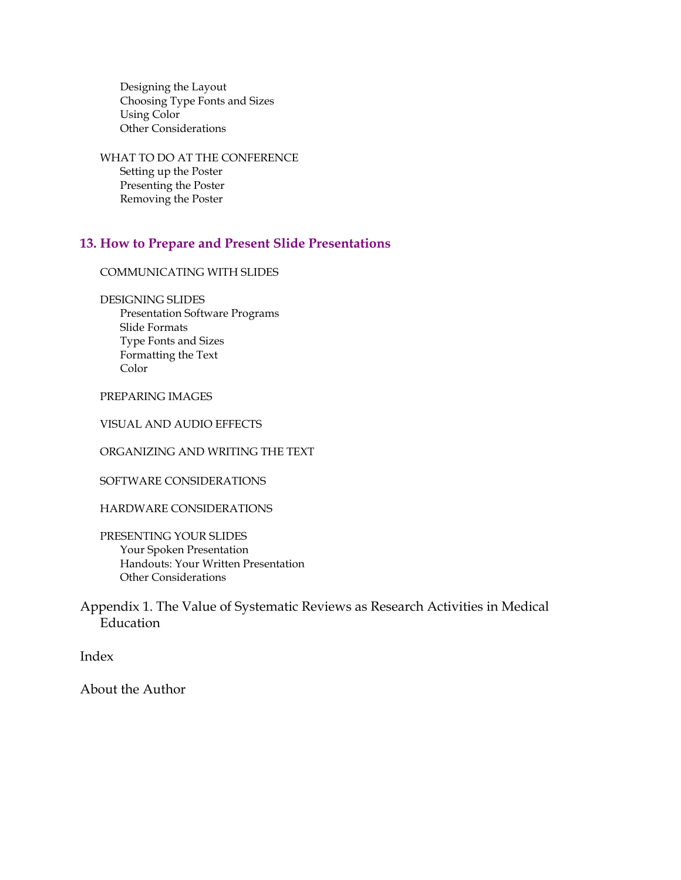Designing the Layout Choosing Type Fonts and Sizes Using Color Other Considerations

WHAT TO DO AT THE CONFERENCE Setting up the Poster Presenting the Poster Removing the Poster

#### **13. How to Prepare and Present Slide Presentations**

COMMUNICATING WITH SLIDES

DESIGNING SLIDES

Presentation Software Programs Slide Formats Type Fonts and Sizes Formatting the Text Color

PREPARING IMAGES

VISUAL AND AUDIO EFFECTS

ORGANIZING AND WRITING THE TEXT

SOFTWARE CONSIDERATIONS

HARDWARE CONSIDERATIONS

PRESENTING YOUR SLIDES Your Spoken Presentation Handouts: Your Written Presentation Other Considerations

Appendix 1. The Value of Systematic Reviews as Research Activities in Medical Education

Index

About the Author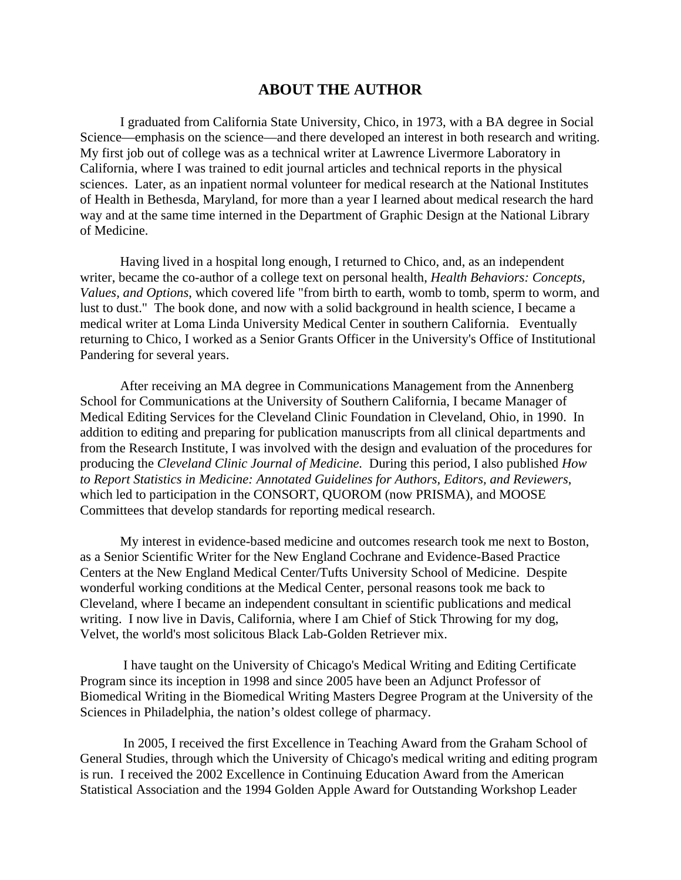# **ABOUT THE AUTHOR**

I graduated from California State University, Chico, in 1973, with a BA degree in Social Science—emphasis on the science—and there developed an interest in both research and writing. My first job out of college was as a technical writer at Lawrence Livermore Laboratory in California, where I was trained to edit journal articles and technical reports in the physical sciences. Later, as an inpatient normal volunteer for medical research at the National Institutes of Health in Bethesda, Maryland, for more than a year I learned about medical research the hard way and at the same time interned in the Department of Graphic Design at the National Library of Medicine.

Having lived in a hospital long enough, I returned to Chico, and, as an independent writer, became the co-author of a college text on personal health, *Health Behaviors: Concepts, Values, and Options*, which covered life "from birth to earth, womb to tomb, sperm to worm, and lust to dust." The book done, and now with a solid background in health science, I became a medical writer at Loma Linda University Medical Center in southern California. Eventually returning to Chico, I worked as a Senior Grants Officer in the University's Office of Institutional Pandering for several years.

After receiving an MA degree in Communications Management from the Annenberg School for Communications at the University of Southern California, I became Manager of Medical Editing Services for the Cleveland Clinic Foundation in Cleveland, Ohio, in 1990. In addition to editing and preparing for publication manuscripts from all clinical departments and from the Research Institute, I was involved with the design and evaluation of the procedures for producing the *Cleveland Clinic Journal of Medicine.* During this period, I also published *How to Report Statistics in Medicine: Annotated Guidelines for Authors, Editors, and Reviewers*, which led to participation in the CONSORT, QUOROM (now PRISMA), and MOOSE Committees that develop standards for reporting medical research.

My interest in evidence-based medicine and outcomes research took me next to Boston, as a Senior Scientific Writer for the New England Cochrane and Evidence-Based Practice Centers at the New England Medical Center/Tufts University School of Medicine. Despite wonderful working conditions at the Medical Center, personal reasons took me back to Cleveland, where I became an independent consultant in scientific publications and medical writing. I now live in Davis, California, where I am Chief of Stick Throwing for my dog, Velvet, the world's most solicitous Black Lab-Golden Retriever mix.

 I have taught on the University of Chicago's Medical Writing and Editing Certificate Program since its inception in 1998 and since 2005 have been an Adjunct Professor of Biomedical Writing in the Biomedical Writing Masters Degree Program at the University of the Sciences in Philadelphia, the nation's oldest college of pharmacy.

 In 2005, I received the first Excellence in Teaching Award from the Graham School of General Studies, through which the University of Chicago's medical writing and editing program is run. I received the 2002 Excellence in Continuing Education Award from the American Statistical Association and the 1994 Golden Apple Award for Outstanding Workshop Leader